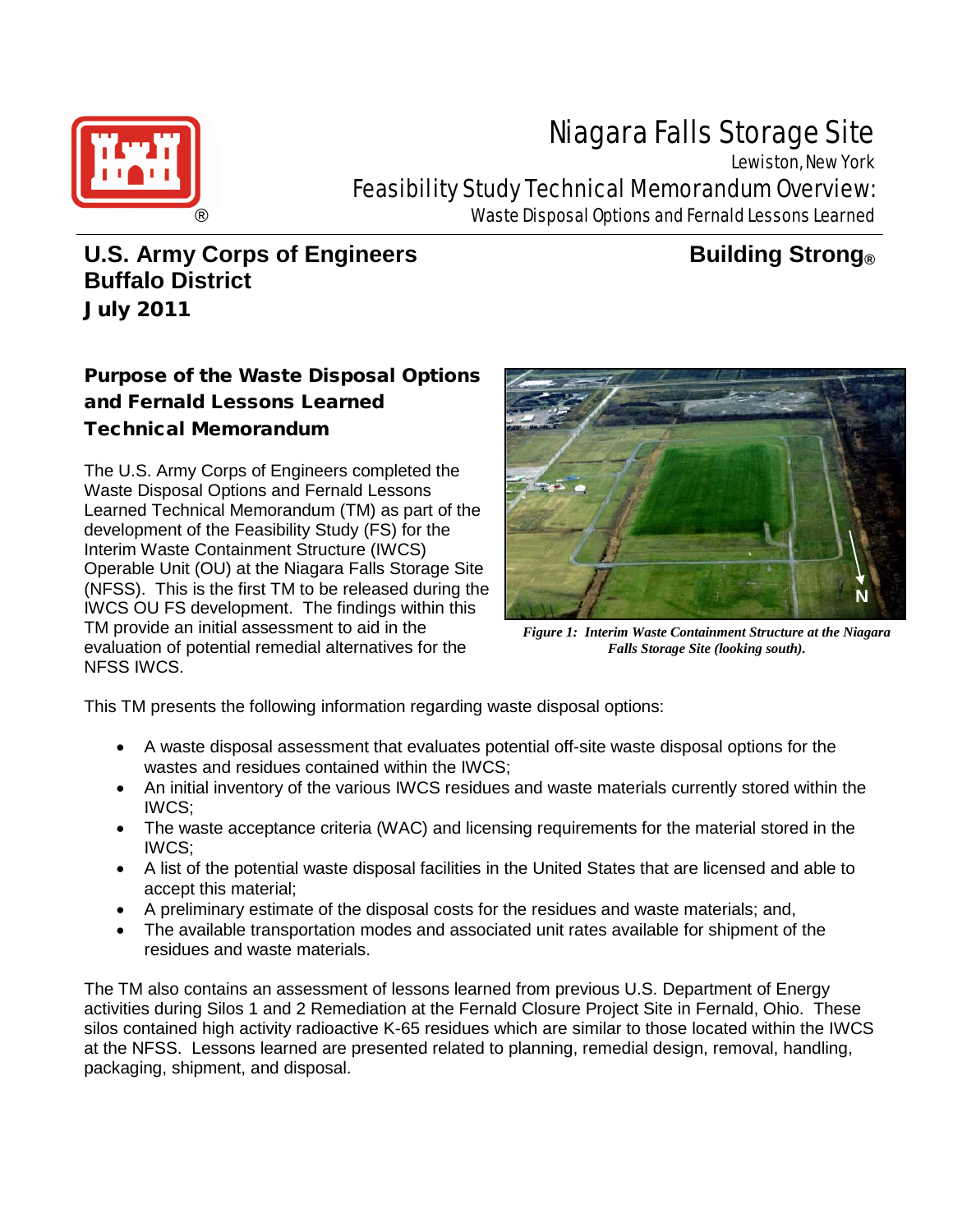

# Niagara Falls Storage Site

Lewiston, New York Feasibility Study Technical Memorandum Overview: Waste Disposal Options and Fernald Lessons Learned

# **U.S. Army Corps of Engineers Building Strong Buffalo District** July 2011

## Purpose of the Waste Disposal Options and Fernald Lessons Learned Technical Memorandum

The U.S. Army Corps of Engineers completed the Waste Disposal Options and Fernald Lessons Learned Technical Memorandum (TM) as part of the development of the Feasibility Study (FS) for the Interim Waste Containment Structure (IWCS) Operable Unit (OU) at the Niagara Falls Storage Site (NFSS). This is the first TM to be released during the IWCS OU FS development. The findings within this TM provide an initial assessment to aid in the evaluation of potential remedial alternatives for the NFSS IWCS.



*Figure 1: Interim Waste Containment Structure at the Niagara Falls Storage Site (looking south).*

This TM presents the following information regarding waste disposal options:

- A waste disposal assessment that evaluates potential off-site waste disposal options for the wastes and residues contained within the IWCS;
- An initial inventory of the various IWCS residues and waste materials currently stored within the IWCS;
- The waste acceptance criteria (WAC) and licensing requirements for the material stored in the IWCS;
- A list of the potential waste disposal facilities in the United States that are licensed and able to accept this material;
- A preliminary estimate of the disposal costs for the residues and waste materials; and,
- The available transportation modes and associated unit rates available for shipment of the residues and waste materials.

The TM also contains an assessment of lessons learned from previous U.S. Department of Energy activities during Silos 1 and 2 Remediation at the Fernald Closure Project Site in Fernald, Ohio. These silos contained high activity radioactive K-65 residues which are similar to those located within the IWCS at the NFSS. Lessons learned are presented related to planning, remedial design, removal, handling, packaging, shipment, and disposal.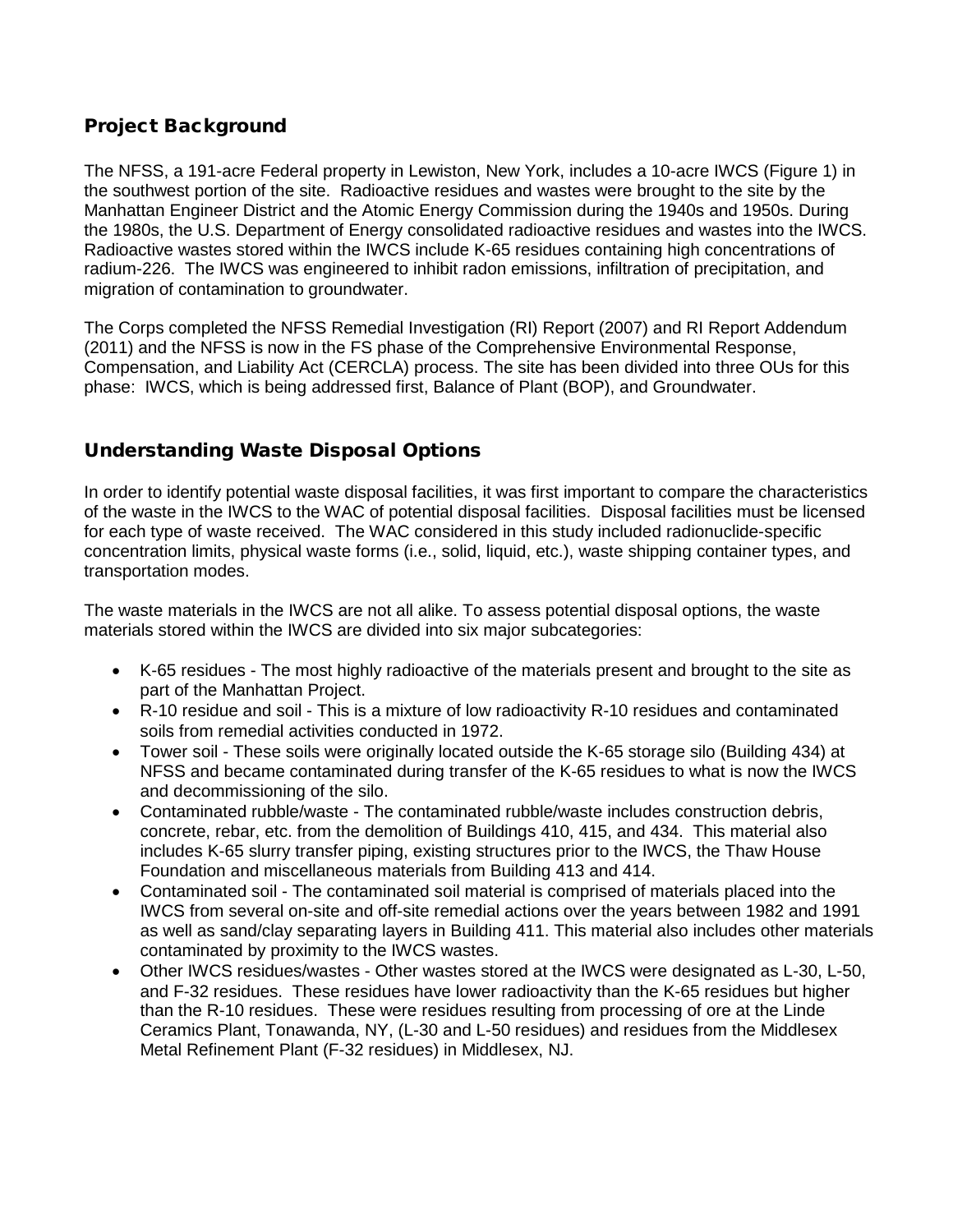#### Project Background

The NFSS, a 191-acre Federal property in Lewiston, New York, includes a 10-acre IWCS (Figure 1) in the southwest portion of the site. Radioactive residues and wastes were brought to the site by the Manhattan Engineer District and the Atomic Energy Commission during the 1940s and 1950s. During the 1980s, the U.S. Department of Energy consolidated radioactive residues and wastes into the IWCS. Radioactive wastes stored within the IWCS include K-65 residues containing high concentrations of radium-226. The IWCS was engineered to inhibit radon emissions, infiltration of precipitation, and migration of contamination to groundwater.

The Corps completed the NFSS Remedial Investigation (RI) Report (2007) and RI Report Addendum (2011) and the NFSS is now in the FS phase of the Comprehensive Environmental Response, Compensation, and Liability Act (CERCLA) process. The site has been divided into three OUs for this phase: IWCS, which is being addressed first, Balance of Plant (BOP), and Groundwater.

#### Understanding Waste Disposal Options

In order to identify potential waste disposal facilities, it was first important to compare the characteristics of the waste in the IWCS to the WAC of potential disposal facilities. Disposal facilities must be licensed for each type of waste received. The WAC considered in this study included radionuclide-specific concentration limits, physical waste forms (i.e., solid, liquid, etc.), waste shipping container types, and transportation modes.

The waste materials in the IWCS are not all alike. To assess potential disposal options, the waste materials stored within the IWCS are divided into six major subcategories:

- K-65 residues The most highly radioactive of the materials present and brought to the site as part of the Manhattan Project.
- R-10 residue and soil This is a mixture of low radioactivity R-10 residues and contaminated soils from remedial activities conducted in 1972.
- Tower soil These soils were originally located outside the K-65 storage silo (Building 434) at NFSS and became contaminated during transfer of the K-65 residues to what is now the IWCS and decommissioning of the silo.
- Contaminated rubble/waste The contaminated rubble/waste includes construction debris, concrete, rebar, etc. from the demolition of Buildings 410, 415, and 434. This material also includes K-65 slurry transfer piping, existing structures prior to the IWCS, the Thaw House Foundation and miscellaneous materials from Building 413 and 414.
- Contaminated soil The contaminated soil material is comprised of materials placed into the IWCS from several on-site and off-site remedial actions over the years between 1982 and 1991 as well as sand/clay separating layers in Building 411. This material also includes other materials contaminated by proximity to the IWCS wastes.
- Other IWCS residues/wastes Other wastes stored at the IWCS were designated as L-30, L-50, and F-32 residues. These residues have lower radioactivity than the K-65 residues but higher than the R-10 residues. These were residues resulting from processing of ore at the Linde Ceramics Plant, Tonawanda, NY, (L-30 and L-50 residues) and residues from the Middlesex Metal Refinement Plant (F-32 residues) in Middlesex, NJ.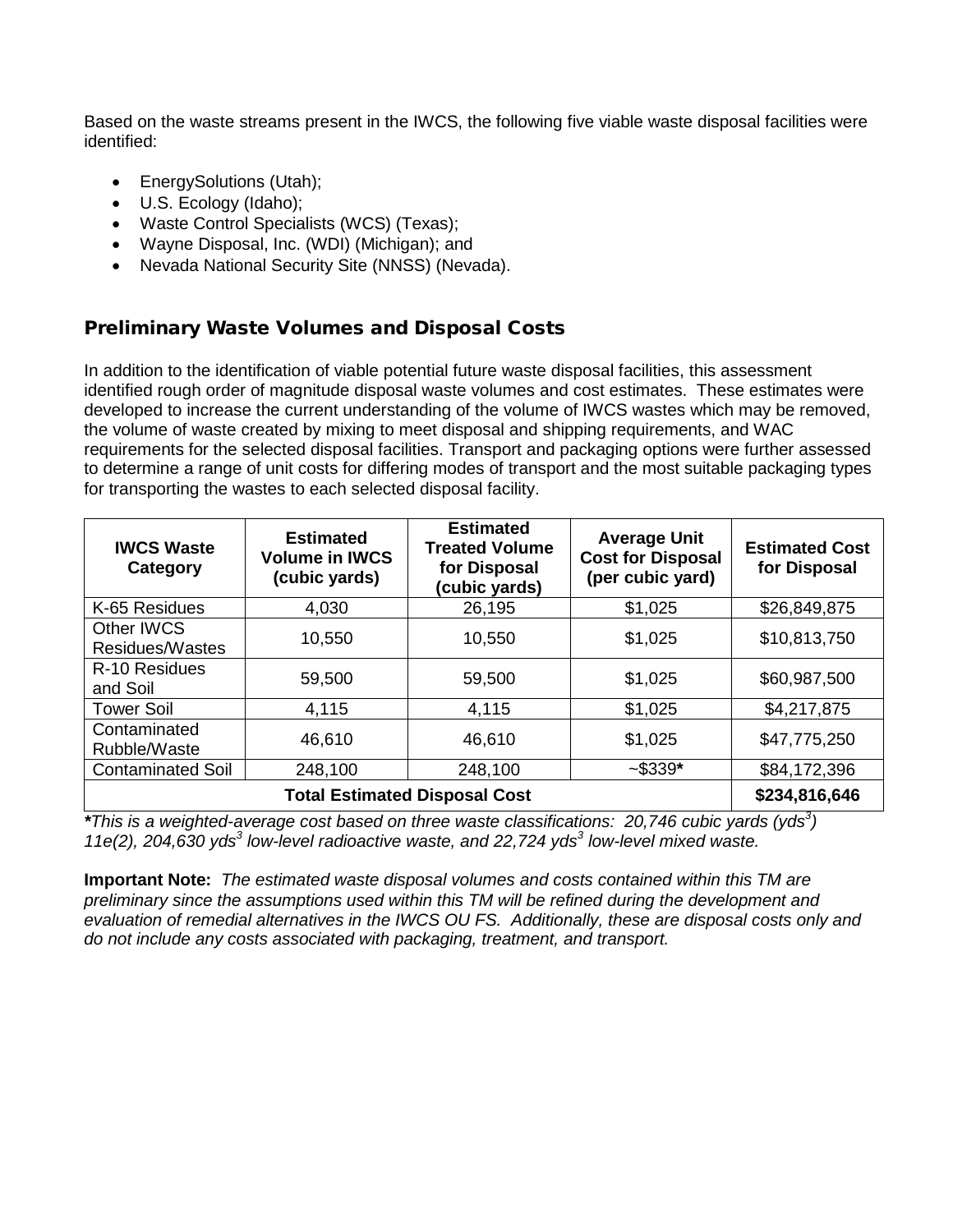Based on the waste streams present in the IWCS, the following five viable waste disposal facilities were identified:

- EnergySolutions (Utah);
- U.S. Ecology (Idaho);
- Waste Control Specialists (WCS) (Texas);
- Wayne Disposal, Inc. (WDI) (Michigan); and
- Nevada National Security Site (NNSS) (Nevada).

#### Preliminary Waste Volumes and Disposal Costs

In addition to the identification of viable potential future waste disposal facilities, this assessment identified rough order of magnitude disposal waste volumes and cost estimates. These estimates were developed to increase the current understanding of the volume of IWCS wastes which may be removed, the volume of waste created by mixing to meet disposal and shipping requirements, and WAC requirements for the selected disposal facilities. Transport and packaging options were further assessed to determine a range of unit costs for differing modes of transport and the most suitable packaging types for transporting the wastes to each selected disposal facility.

| <b>IWCS Waste</b><br>Category        | <b>Estimated</b><br><b>Volume in IWCS</b><br>(cubic yards) | <b>Estimated</b><br><b>Treated Volume</b><br>for Disposal<br>(cubic yards) | <b>Average Unit</b><br><b>Cost for Disposal</b><br>(per cubic yard) | <b>Estimated Cost</b><br>for Disposal |
|--------------------------------------|------------------------------------------------------------|----------------------------------------------------------------------------|---------------------------------------------------------------------|---------------------------------------|
| K-65 Residues                        | 4,030                                                      | 26,195                                                                     | \$1,025                                                             | \$26,849,875                          |
| <b>Other IWCS</b><br>Residues/Wastes | 10,550                                                     | 10,550                                                                     | \$1,025                                                             | \$10,813,750                          |
| R-10 Residues<br>and Soil            | 59,500                                                     | 59,500                                                                     | \$1,025                                                             | \$60,987,500                          |
| <b>Tower Soil</b>                    | 4,115                                                      | 4,115                                                                      | \$1,025                                                             | \$4,217,875                           |
| Contaminated<br>Rubble/Waste         | 46,610                                                     | 46,610                                                                     | \$1,025                                                             | \$47,775,250                          |
| <b>Contaminated Soil</b>             | 248,100                                                    | 248,100                                                                    | $-$ \$339*                                                          | \$84,172,396                          |
| <b>Total Estimated Disposal Cost</b> |                                                            |                                                                            |                                                                     | \$234,816,646                         |

*\*This is a weighted-average cost based on three waste classifications: 20,746 cubic yards (yds<sup>3</sup> ) 11e(2), 204,630 yds<sup>3</sup> low-level radioactive waste, and 22,724 yds<sup>3</sup> low-level mixed waste.*

**Important Note:** *The estimated waste disposal volumes and costs contained within this TM are preliminary since the assumptions used within this TM will be refined during the development and evaluation of remedial alternatives in the IWCS OU FS. Additionally, these are disposal costs only and do not include any costs associated with packaging, treatment, and transport.*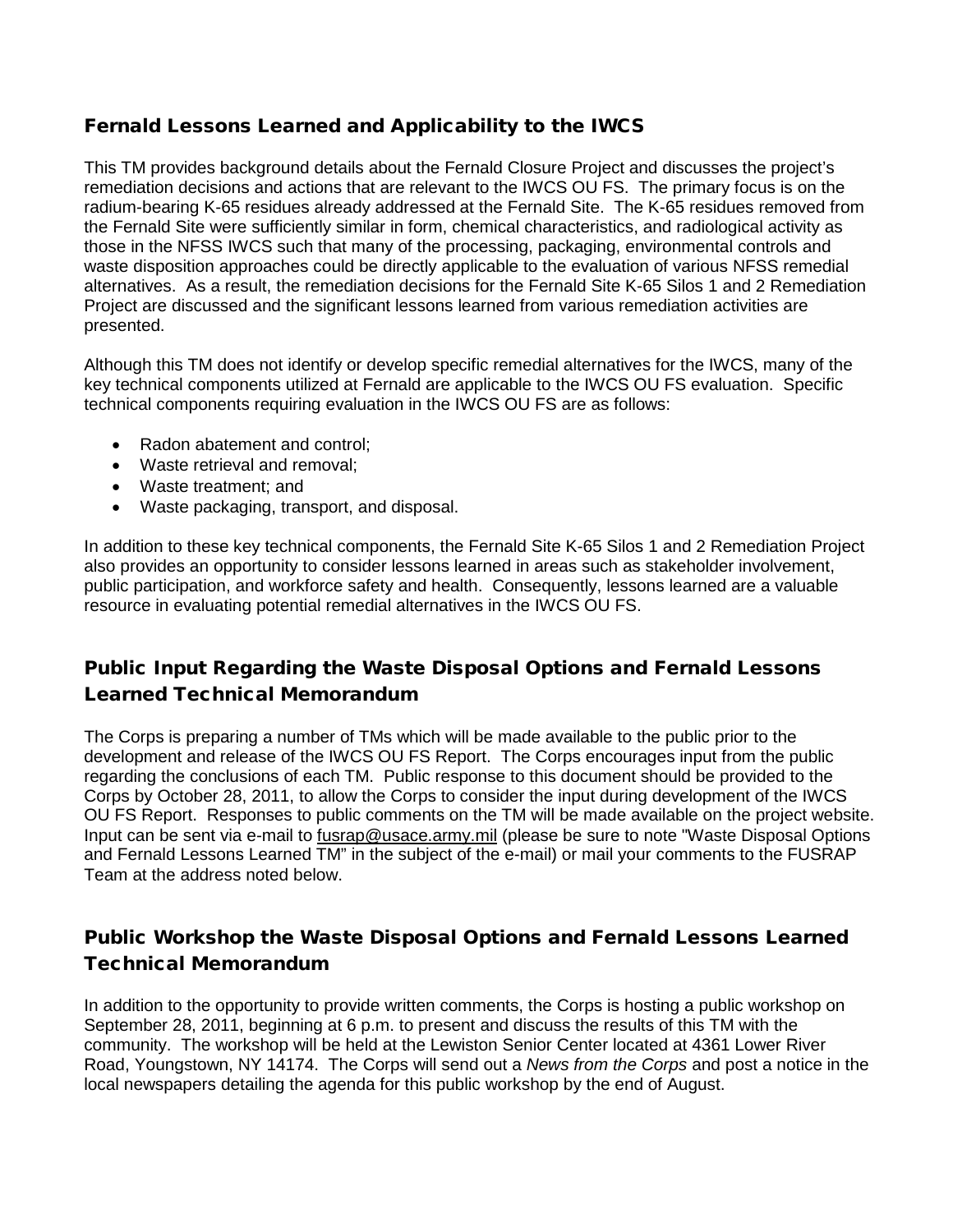#### Fernald Lessons Learned and Applicability to the IWCS

This TM provides background details about the Fernald Closure Project and discusses the project's remediation decisions and actions that are relevant to the IWCS OU FS. The primary focus is on the radium-bearing K-65 residues already addressed at the Fernald Site. The K-65 residues removed from the Fernald Site were sufficiently similar in form, chemical characteristics, and radiological activity as those in the NFSS IWCS such that many of the processing, packaging, environmental controls and waste disposition approaches could be directly applicable to the evaluation of various NFSS remedial alternatives. As a result, the remediation decisions for the Fernald Site K-65 Silos 1 and 2 Remediation Project are discussed and the significant lessons learned from various remediation activities are presented.

Although this TM does not identify or develop specific remedial alternatives for the IWCS, many of the key technical components utilized at Fernald are applicable to the IWCS OU FS evaluation. Specific technical components requiring evaluation in the IWCS OU FS are as follows:

- Radon abatement and control;
- Waste retrieval and removal;
- Waste treatment; and
- Waste packaging, transport, and disposal.

In addition to these key technical components, the Fernald Site K-65 Silos 1 and 2 Remediation Project also provides an opportunity to consider lessons learned in areas such as stakeholder involvement, public participation, and workforce safety and health. Consequently, lessons learned are a valuable resource in evaluating potential remedial alternatives in the IWCS OU FS.

#### Public Input Regarding the Waste Disposal Options and Fernald Lessons Learned Technical Memorandum

The Corps is preparing a number of TMs which will be made available to the public prior to the development and release of the IWCS OU FS Report. The Corps encourages input from the public regarding the conclusions of each TM. Public response to this document should be provided to the Corps by October 28, 2011, to allow the Corps to consider the input during development of the IWCS OU FS Report. Responses to public comments on the TM will be made available on the project website. Input can be sent via e-mail to fusrap@usace.army.mil (please be sure to note "Waste Disposal Options and Fernald Lessons Learned TM" in the subject of the e-mail) or mail your comments to the FUSRAP Team at the address noted below.

### Public Workshop the Waste Disposal Options and Fernald Lessons Learned Technical Memorandum

In addition to the opportunity to provide written comments, the Corps is hosting a public workshop on September 28, 2011, beginning at 6 p.m. to present and discuss the results of this TM with the community. The workshop will be held at the Lewiston Senior Center located at 4361 Lower River Road, Youngstown, NY 14174. The Corps will send out a *News from the Corps* and post a notice in the local newspapers detailing the agenda for this public workshop by the end of August.